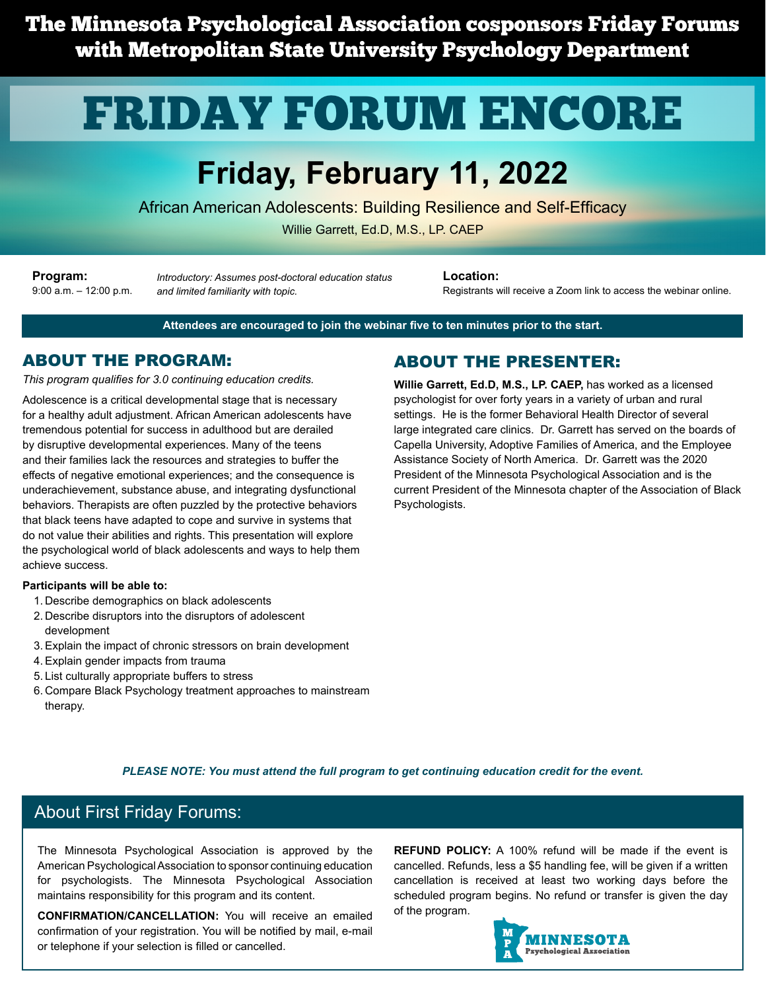The Minnesota Psychological Association cosponsors Friday Forums with Metropolitan State University Psychology Department

# FRIDAY FORUM ENCORE

# **Friday, February 11, 2022**

African American Adolescents: Building Resilience and Self-Efficacy

Willie Garrett, Ed.D, M.S., LP. CAEP

**Program:** 9:00 a.m. – 12:00 p.m.

*Introductory: Assumes post-doctoral education status and limited familiarity with topic.*

**Location:**

Registrants will receive a Zoom link to access the webinar online.

**Attendees are encouraged to join the webinar five to ten minutes prior to the start.**

#### ABOUT THE PROGRAM:

*This program qualifies for 3.0 continuing education credits.*

Adolescence is a critical developmental stage that is necessary for a healthy adult adjustment. African American adolescents have tremendous potential for success in adulthood but are derailed by disruptive developmental experiences. Many of the teens and their families lack the resources and strategies to buffer the effects of negative emotional experiences; and the consequence is underachievement, substance abuse, and integrating dysfunctional behaviors. Therapists are often puzzled by the protective behaviors that black teens have adapted to cope and survive in systems that do not value their abilities and rights. This presentation will explore the psychological world of black adolescents and ways to help them achieve success.

#### **Participants will be able to:**

- 1. Describe demographics on black adolescents
- 2. Describe disruptors into the disruptors of adolescent development
- 3.Explain the impact of chronic stressors on brain development
- 4.Explain gender impacts from trauma
- 5. List culturally appropriate buffers to stress
- 6. Compare Black Psychology treatment approaches to mainstream therapy.

#### ABOUT THE PRESENTER:

**Willie Garrett, Ed.D, M.S., LP. CAEP,** has worked as a licensed psychologist for over forty years in a variety of urban and rural settings. He is the former Behavioral Health Director of several large integrated care clinics. Dr. Garrett has served on the boards of Capella University, Adoptive Families of America, and the Employee Assistance Society of North America. Dr. Garrett was the 2020 President of the Minnesota Psychological Association and is the current President of the Minnesota chapter of the Association of Black Psychologists.

#### *PLEASE NOTE: You must attend the full program to get continuing education credit for the event.*

#### About First Friday Forums:

The Minnesota Psychological Association is approved by the American Psychological Association to sponsor continuing education for psychologists. The Minnesota Psychological Association maintains responsibility for this program and its content.

**CONFIRMATION/CANCELLATION:** You will receive an emailed confirmation of your registration. You will be notified by mail, e-mail or telephone if your selection is filled or cancelled.

**REFUND POLICY:** A 100% refund will be made if the event is cancelled. Refunds, less a \$5 handling fee, will be given if a written cancellation is received at least two working days before the scheduled program begins. No refund or transfer is given the day of the program.